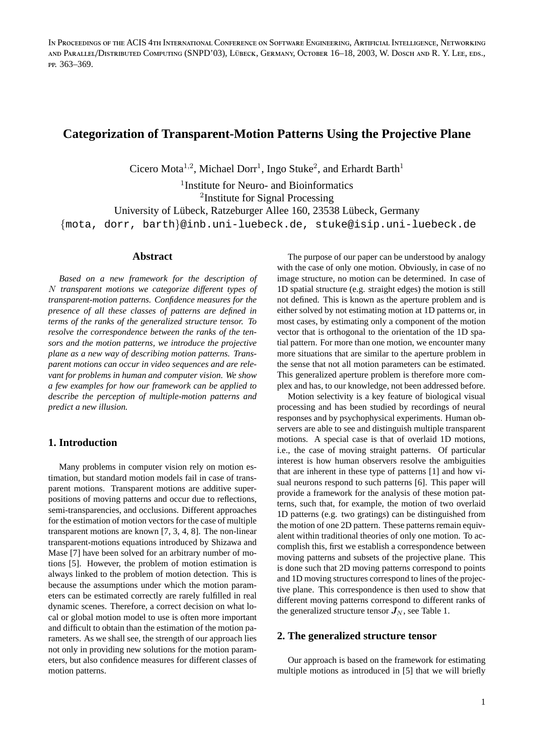IN PROCEEDINGS OF THE ACIS 4TH INTERNATIONAL CONFERENCE ON SOFTWARE ENGINEERING, ARTIFICIAL INTELLIGENCE, NETWORKING AND PARALLEL/DISTRIBUTED COMPUTING (SNPD'03), LÜBECK, GERMANY, OCTOBER 16-18, 2003, W. DOSCH AND R. Y. LEE, EDS., PP. 363-369.

# **Categorization of Transparent-Motion Patterns Using the Projective Plane**

Cicero Mota<sup>1,2</sup>, Michael Dorr<sup>1</sup>, Ingo Stuke<sup>2</sup>, and Erhardt Barth<sup>1</sup>

1 Institute for Neuro- and Bioinformatics

<sup>2</sup>Institute for Signal Processing

University of Lübeck, Ratzeburger Allee 160, 23538 Lübeck, Germany

{mota, dorr, barth}@inb.uni-luebeck.de, stuke@isip.uni-luebeck.de

#### **Abstract**

*Based on a new framework for the description of* N *transparent motions we categorize different types of transparent-motion patterns. Confidence measures for the presence of all these classes of patterns are defined in terms of the ranks of the generalized structure tensor. To resolve the correspondence between the ranks of the tensors and the motion patterns, we introduce the projective plane as a new way of describing motion patterns. Transparent motions can occur in video sequences and are relevant for problems in human and computer vision. We show a few examples for how our framework can be applied to describe the perception of multiple-motion patterns and predict a new illusion.*

#### **1. Introduction**

Many problems in computer vision rely on motion estimation, but standard motion models fail in case of transparent motions. Transparent motions are additive superpositions of moving patterns and occur due to reflections, semi-transparencies, and occlusions. Different approaches for the estimation of motion vectors for the case of multiple transparent motions are known [7, 3, 4, 8]. The non-linear transparent-motions equations introduced by Shizawa and Mase [7] have been solved for an arbitrary number of motions [5]. However, the problem of motion estimation is always linked to the problem of motion detection. This is because the assumptions under which the motion parameters can be estimated correctly are rarely fulfilled in real dynamic scenes. Therefore, a correct decision on what local or global motion model to use is often more important and difficult to obtain than the estimation of the motion parameters. As we shall see, the strength of our approach lies not only in providing new solutions for the motion parameters, but also confidence measures for different classes of motion patterns.

The purpose of our paper can be understood by analogy with the case of only one motion. Obviously, in case of no image structure, no motion can be determined. In case of 1D spatial structure (e.g. straight edges) the motion is still not defined. This is known as the aperture problem and is either solved by not estimating motion at 1D patterns or, in most cases, by estimating only a component of the motion vector that is orthogonal to the orientation of the 1D spatial pattern. For more than one motion, we encounter many more situations that are similar to the aperture problem in the sense that not all motion parameters can be estimated. This generalized aperture problem is therefore more complex and has, to our knowledge, not been addressed before.

Motion selectivity is a key feature of biological visual processing and has been studied by recordings of neural responses and by psychophysical experiments. Human observers are able to see and distinguish multiple transparent motions. A special case is that of overlaid 1D motions, i.e., the case of moving straight patterns. Of particular interest is how human observers resolve the ambiguities that are inherent in these type of patterns [1] and how visual neurons respond to such patterns [6]. This paper will provide a framework for the analysis of these motion patterns, such that, for example, the motion of two overlaid 1D patterns (e.g. two gratings) can be distinguished from the motion of one 2D pattern. These patterns remain equivalent within traditional theories of only one motion. To accomplish this, first we establish a correspondence between moving patterns and subsets of the projective plane. This is done such that 2D moving patterns correspond to points and 1D moving structures correspond to lines of the projective plane. This correspondence is then used to show that different moving patterns correspond to different ranks of the generalized structure tensor  $J_N$ , see Table 1.

#### **2. The generalized structure tensor**

Our approach is based on the framework for estimating multiple motions as introduced in [5] that we will briefly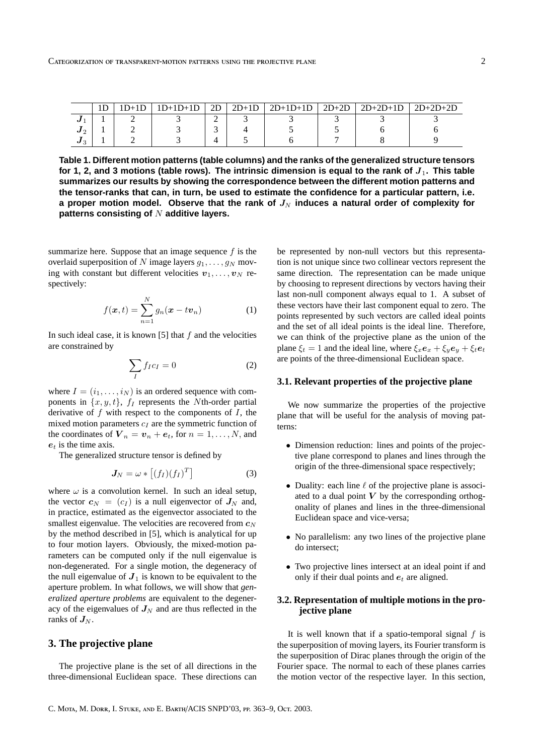|                | חו<br>ΠD | $1D+1D+1D$ | 2D       | $2D+1D$ | $2D+1D+1D$ | $2D+2D$ | $2D+2D+1D$ | $2D+2D+2D$ |
|----------------|----------|------------|----------|---------|------------|---------|------------|------------|
|                |          |            | <u>_</u> |         |            |         |            |            |
| J <sub>2</sub> |          |            |          |         |            |         |            |            |
| $J_3$          |          |            |          |         |            |         |            |            |

**Table 1. Different motion patterns (table columns) and the ranks of the generalized structure tensors** for 1, 2, and 3 motions (table rows). The intrinsic dimension is equal to the rank of  $J_1$ . This table **summarizes our results by showing the correspondence between the different motion patterns and the tensor-ranks that can, in turn, be used to estimate the confidence for a particular pattern, i.e.** a proper motion model. Observe that the rank of  $J_N$  induces a natural order of complexity for **patterns consisting of** N **additive layers.**

summarize here. Suppose that an image sequence  $f$  is the overlaid superposition of N image layers  $q_1, \ldots, q_N$  moving with constant but different velocities  $v_1, \ldots, v_N$  respectively:

$$
f(\boldsymbol{x},t) = \sum_{n=1}^{N} g_n(\boldsymbol{x} - t\boldsymbol{v}_n)
$$
 (1)

In such ideal case, it is known [5] that  $f$  and the velocities are constrained by

$$
\sum_{I} f_{I} c_{I} = 0 \tag{2}
$$

where  $I = (i_1, \ldots, i_N)$  is an ordered sequence with components in  $\{x, y, t\}$ ,  $f_I$  represents the Nth-order partial derivative of  $f$  with respect to the components of  $I$ , the mixed motion parameters  $c_I$  are the symmetric function of the coordinates of  $V_n = v_n + e_t$ , for  $n = 1, ..., N$ , and  $e_t$  is the time axis.

The generalized structure tensor is defined by

$$
J_N = \omega * [(f_I)(f_I)^T]
$$
 (3)

where  $\omega$  is a convolution kernel. In such an ideal setup, the vector  $c_N = (c_I)$  is a null eigenvector of  $J_N$  and, in practice, estimated as the eigenvector associated to the smallest eigenvalue. The velocities are recovered from  $c_N$ by the method described in [5], which is analytical for up to four motion layers. Obviously, the mixed-motion parameters can be computed only if the null eigenvalue is non-degenerated. For a single motion, the degeneracy of the null eigenvalue of  $J_1$  is known to be equivalent to the aperture problem. In what follows, we will show that *generalized aperture problems* are equivalent to the degeneracy of the eigenvalues of  $J_N$  and are thus reflected in the ranks of  $J_N$ .

#### **3. The projective plane**

The projective plane is the set of all directions in the three-dimensional Euclidean space. These directions can be represented by non-null vectors but this representation is not unique since two collinear vectors represent the same direction. The representation can be made unique by choosing to represent directions by vectors having their last non-null component always equal to 1. A subset of these vectors have their last component equal to zero. The points represented by such vectors are called ideal points and the set of all ideal points is the ideal line. Therefore, we can think of the projective plane as the union of the plane  $\xi_t = 1$  and the ideal line, where  $\xi_x \mathbf{e}_x + \xi_y \mathbf{e}_y + \xi_t \mathbf{e}_t$ are points of the three-dimensional Euclidean space.

#### **3.1. Relevant properties of the projective plane**

We now summarize the properties of the projective plane that will be useful for the analysis of moving patterns:

- Dimension reduction: lines and points of the projective plane correspond to planes and lines through the origin of the three-dimensional space respectively;
- Duality: each line  $\ell$  of the projective plane is associated to a dual point  $V$  by the corresponding orthogonality of planes and lines in the three-dimensional Euclidean space and vice-versa;
- No parallelism: any two lines of the projective plane do intersect;
- Two projective lines intersect at an ideal point if and only if their dual points and  $e_t$  are aligned.

#### **3.2. Representation of multiple motions in the projective plane**

It is well known that if a spatio-temporal signal  $f$  is the superposition of moving layers, its Fourier transform is the superposition of Dirac planes through the origin of the Fourier space. The normal to each of these planes carries the motion vector of the respective layer. In this section,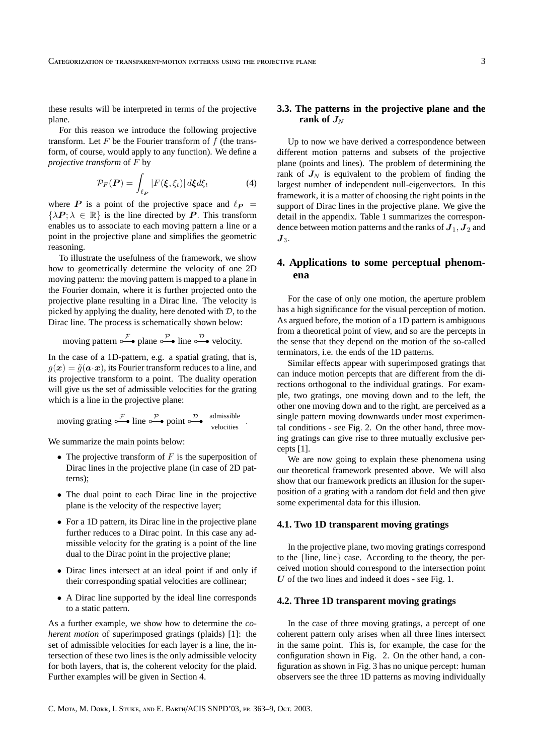these results will be interpreted in terms of the projective plane.

For this reason we introduce the following projective transform. Let  $F$  be the Fourier transform of  $f$  (the transform, of course, would apply to any function). We define a *projective transform* of F by

$$
\mathcal{P}_F(\boldsymbol{P}) = \int_{\ell_{\boldsymbol{P}}} |F(\boldsymbol{\xi}, \xi_t)| \, d\boldsymbol{\xi} d\xi_t \tag{4}
$$

where P is a point of the projective space and  $\ell_P$  =  $\{\lambda P; \lambda \in \mathbb{R}\}\$ is the line directed by P. This transform enables us to associate to each moving pattern a line or a point in the projective plane and simplifies the geometric reasoning.

To illustrate the usefulness of the framework, we show how to geometrically determine the velocity of one 2D moving pattern: the moving pattern is mapped to a plane in the Fourier domain, where it is further projected onto the projective plane resulting in a Dirac line. The velocity is picked by applying the duality, here denoted with  $D$ , to the Dirac line. The process is schematically shown below:

moving pattern 
$$
\circ \xrightarrow{\mathcal{F}}
$$
 plane  $\circ \xrightarrow{\mathcal{P}}$  line  $\circ \xrightarrow{\mathcal{D}}$  velocity.

In the case of a 1D-pattern, e.g. a spatial grating, that is,  $g(x) = \tilde{g}(a \cdot x)$ , its Fourier transform reduces to a line, and its projective transform to a point. The duality operation will give us the set of admissible velocities for the grating which is a line in the projective plane:

moving grating 
$$
\circ \xrightarrow{\mathcal{F}}
$$
 line  $\circ \xrightarrow{\mathcal{P}}$  point  $\circ \xrightarrow{\mathcal{D}}$  admissible velocities

.

We summarize the main points below:

- The projective transform of  $F$  is the superposition of Dirac lines in the projective plane (in case of 2D patterns);
- The dual point to each Dirac line in the projective plane is the velocity of the respective layer;
- For a 1D pattern, its Dirac line in the projective plane further reduces to a Dirac point. In this case any admissible velocity for the grating is a point of the line dual to the Dirac point in the projective plane;
- Dirac lines intersect at an ideal point if and only if their corresponding spatial velocities are collinear;
- A Dirac line supported by the ideal line corresponds to a static pattern.

As a further example, we show how to determine the *coherent motion* of superimposed gratings (plaids) [1]: the set of admissible velocities for each layer is a line, the intersection of these two lines is the only admissible velocity for both layers, that is, the coherent velocity for the plaid. Further examples will be given in Section 4.

#### **3.3. The patterns in the projective plane and the rank of**  $J_N$

Up to now we have derived a correspondence between different motion patterns and subsets of the projective plane (points and lines). The problem of determining the rank of  $J_N$  is equivalent to the problem of finding the largest number of independent null-eigenvectors. In this framework, it is a matter of choosing the right points in the support of Dirac lines in the projective plane. We give the detail in the appendix. Table 1 summarizes the correspondence between motion patterns and the ranks of  $J_1, J_2$  and  $\boldsymbol{J}_3$ .

## **4. Applications to some perceptual phenomena**

For the case of only one motion, the aperture problem has a high significance for the visual perception of motion. As argued before, the motion of a 1D pattern is ambiguous from a theoretical point of view, and so are the percepts in the sense that they depend on the motion of the so-called terminators, i.e. the ends of the 1D patterns.

Similar effects appear with superimposed gratings that can induce motion percepts that are different from the directions orthogonal to the individual gratings. For example, two gratings, one moving down and to the left, the other one moving down and to the right, are perceived as a single pattern moving downwards under most experimental conditions - see Fig. 2. On the other hand, three moving gratings can give rise to three mutually exclusive percepts [1].

We are now going to explain these phenomena using our theoretical framework presented above. We will also show that our framework predicts an illusion for the superposition of a grating with a random dot field and then give some experimental data for this illusion.

#### **4.1. Two 1D transparent moving gratings**

In the projective plane, two moving gratings correspond to the {line, line} case. According to the theory, the perceived motion should correspond to the intersection point  $U$  of the two lines and indeed it does - see Fig. 1.

#### **4.2. Three 1D transparent moving gratings**

In the case of three moving gratings, a percept of one coherent pattern only arises when all three lines intersect in the same point. This is, for example, the case for the configuration shown in Fig. 2. On the other hand, a configuration as shown in Fig. 3 has no unique percept: human observers see the three 1D patterns as moving individually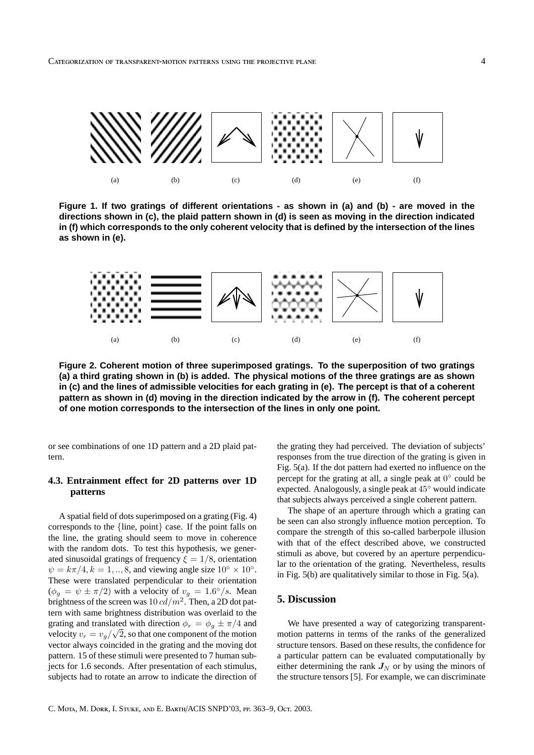

**Figure 1. If two gratings of different orientations - as shown in (a) and (b) - are moved in the directions shown in (c), the plaid pattern shown in (d) is seen as moving in the direction indicated in (f) which corresponds to the only coherent velocity that is defined by the intersection of the lines as shown in (e).**



**Figure 2. Coherent motion of three superimposed gratings. To the superposition of two gratings (a) a third grating shown in (b) is added. The physical motions of the three gratings are as shown in (c) and the lines of admissible velocities for each grating in (e). The percept is that of a coherent pattern as shown in (d) moving in the direction indicated by the arrow in (f). The coherent percept of one motion corresponds to the intersection of the lines in only one point.**

or see combinations of one 1D pattern and a 2D plaid pattern.

#### **4.3. Entrainment effect for 2D patterns over 1D patterns**

A spatial field of dots superimposed on a grating (Fig. 4) corresponds to the {line, point} case. If the point falls on the line, the grating should seem to move in coherence with the random dots. To test this hypothesis, we generated sinusoidal gratings of frequency  $\xi = 1/8$ , orientation  $\psi = k\pi/4, k = 1, ..., 8$ , and viewing angle size  $10^{\circ} \times 10^{\circ}$ . These were translated perpendicular to their orientation  $(\phi_g = \psi \pm \pi/2)$  with a velocity of  $v_g = 1.6^{\circ}/s$ . Mean brightness of the screen was  $10 \, \text{cd}/\text{m}^2$ . Then, a 2D dot pattern with same brightness distribution was overlaid to the grating and translated with direction  $\phi_r = \phi_g \pm \pi/4$  and velocity  $v_r = v_g/\sqrt{2}$ , so that one component of the motion vector always coincided in the grating and the moving dot pattern. 15 of these stimuli were presented to 7 human subjects for 1.6 seconds. After presentation of each stimulus, subjects had to rotate an arrow to indicate the direction of the grating they had perceived. The deviation of subjects' responses from the true direction of the grating is given in Fig. 5(a). If the dot pattern had exerted no influence on the percept for the grating at all, a single peak at  $0^{\circ}$  could be expected. Analogously, a single peak at 45◦ would indicate that subjects always perceived a single coherent pattern.

The shape of an aperture through which a grating can be seen can also strongly influence motion perception. To compare the strength of this so-called barberpole illusion with that of the effect described above, we constructed stimuli as above, but covered by an aperture perpendicular to the orientation of the grating. Nevertheless, results in Fig. 5(b) are qualitatively similar to those in Fig. 5(a).

## **5. Discussion**

We have presented a way of categorizing transparentmotion patterns in terms of the ranks of the generalized structure tensors. Based on these results, the confidence for a particular pattern can be evaluated computationally by either determining the rank  $J_N$  or by using the minors of the structure tensors [5]. For example, we can discriminate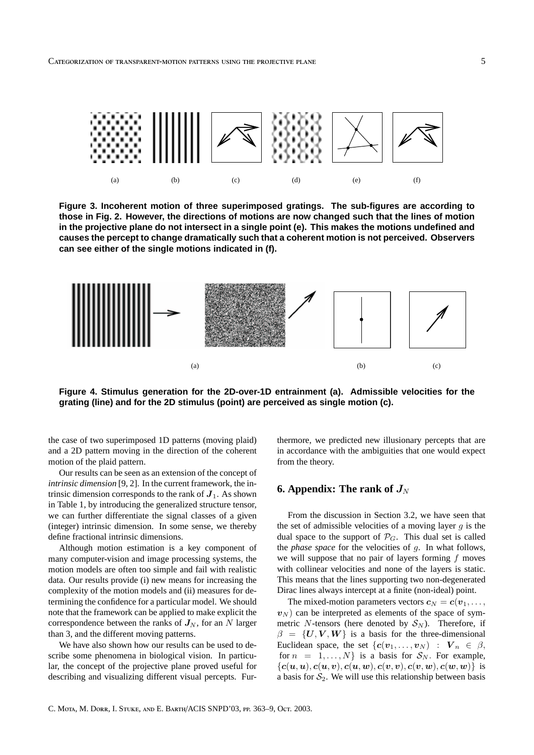CATEGORIZATION OF TRANSPARENT-MOTION PATTERNS USING THE PROJECTIVE PLANE  $5$ 



**Figure 3. Incoherent motion of three superimposed gratings. The sub-figures are according to those in Fig. 2. However, the directions of motions are now changed such that the lines of motion in the projective plane do not intersect in a single point (e). This makes the motions undefined and causes the percept to change dramatically such that a coherent motion is not perceived. Observers can see either of the single motions indicated in (f).**



**Figure 4. Stimulus generation for the 2D-over-1D entrainment (a). Admissible velocities for the grating (line) and for the 2D stimulus (point) are perceived as single motion (c).**

the case of two superimposed 1D patterns (moving plaid) and a 2D pattern moving in the direction of the coherent motion of the plaid pattern.

Our results can be seen as an extension of the concept of *intrinsic dimension* [9, 2]. In the current framework, the intrinsic dimension corresponds to the rank of  $J_1$ . As shown in Table 1, by introducing the generalized structure tensor, we can further differentiate the signal classes of a given (integer) intrinsic dimension. In some sense, we thereby define fractional intrinsic dimensions.

Although motion estimation is a key component of many computer-vision and image processing systems, the motion models are often too simple and fail with realistic data. Our results provide (i) new means for increasing the complexity of the motion models and (ii) measures for determining the confidence for a particular model. We should note that the framework can be applied to make explicit the correspondence between the ranks of  $J_N$ , for an N larger than 3, and the different moving patterns.

We have also shown how our results can be used to describe some phenomena in biological vision. In particular, the concept of the projective plane proved useful for describing and visualizing different visual percepts. Furthermore, we predicted new illusionary percepts that are in accordance with the ambiguities that one would expect from the theory.

### **6. Appendix: The rank of**  $J_N$

From the discussion in Section 3.2, we have seen that the set of admissible velocities of a moving layer  $q$  is the dual space to the support of  $P_G$ . This dual set is called the *phase space* for the velocities of g. In what follows, we will suppose that no pair of layers forming  $f$  moves with collinear velocities and none of the layers is static. This means that the lines supporting two non-degenerated Dirac lines always intercept at a finite (non-ideal) point.

The mixed-motion parameters vectors  $c_N = c(v_1, \ldots,$  $v_N$ ) can be interpreted as elements of the space of symmetric N-tensors (here denoted by  $S_N$ ). Therefore, if  $\beta = \{U, V, W\}$  is a basis for the three-dimensional Euclidean space, the set  $\{c(v_1, \ldots, v_N) : V_n \in \beta, \}$ for  $n = 1, ..., N$  is a basis for  $S_N$ . For example,  ${c(u, u), c(u, v), c(u, w), c(v, v), c(v, w), c(w, w)}$  is a basis for  $S_2$ . We will use this relationship between basis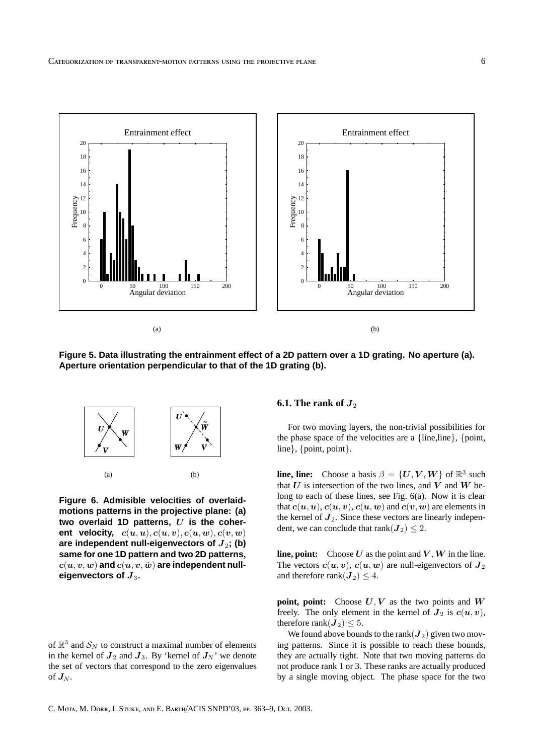

**Figure 5. Data illustrating the entrainment effect of a 2D pattern over a 1D grating. No aperture (a). Aperture orientation perpendicular to that of the 1D grating (b).**



**Figure 6. Admisible velocities of overlaidmotions patterns in the projective plane: (a) two overlaid 1D patterns,** U **is the coherent velocity,**  $c(u, u), c(u, v), c(u, w), c(v, w)$ are independent null-eigenvectors of  $J_2$ ; (b) **same for one 1D pattern and two 2D patterns,**  $c(u, v, w)$  and  $c(u, v, \tilde{w})$  are independent null**eigenvectors of** J3**.**

of  $\mathbb{R}^3$  and  $\mathcal{S}_N$  to construct a maximal number of elements in the kernel of  $J_2$  and  $J_3$ . By 'kernel of  $J_N$ ' we denote the set of vectors that correspond to the zero eigenvalues of  $J_N$ .

#### **6.1. The rank of**  $J_2$

For two moving layers, the non-trivial possibilities for the phase space of the velocities are a {line,line}, {point, line}, {point, point}.

**line, line:** Choose a basis  $\beta = \{U, V, W\}$  of  $\mathbb{R}^3$  such that  $U$  is intersection of the two lines, and  $V$  and  $W$  belong to each of these lines, see Fig. 6(a). Now it is clear that  $c(u, u)$ ,  $c(u, v)$ ,  $c(u, w)$  and  $c(v, w)$  are elements in the kernel of  $J_2$ . Since these vectors are linearly independent, we can conclude that rank $(J_2) \leq 2$ .

**line, point:** Choose  $U$  as the point and  $V$ ,  $W$  in the line. The vectors  $c(u, v)$ ,  $c(u, w)$  are null-eigenvectors of  $J_2$ and therefore rank $(J_2) \leq 4$ .

**point, point:** Choose  $U, V$  as the two points and  $W$ freely. The only element in the kernel of  $J_2$  is  $c(u, v)$ , therefore rank $(J_2) \leq 5$ .

We found above bounds to the rank( $J_2$ ) given two moving patterns. Since it is possible to reach these bounds, they are actually tight. Note that two moving patterns do not produce rank 1 or 3. These ranks are actually produced by a single moving object. The phase space for the two